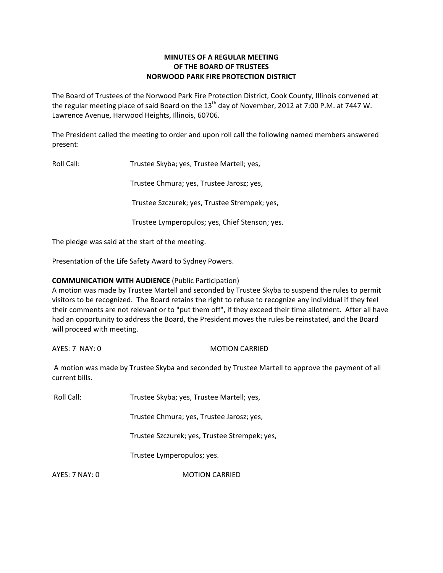# **MINUTES OF A REGULAR MEETING OF THE BOARD OF TRUSTEES NORWOOD PARK FIRE PROTECTION DISTRICT**

The Board of Trustees of the Norwood Park Fire Protection District, Cook County, Illinois convened at the regular meeting place of said Board on the  $13<sup>th</sup>$  day of November, 2012 at 7:00 P.M. at 7447 W. Lawrence Avenue, Harwood Heights, Illinois, 60706.

The President called the meeting to order and upon roll call the following named members answered present:

Roll Call: Trustee Skyba; yes, Trustee Martell; yes,

Trustee Chmura; yes, Trustee Jarosz; yes,

Trustee Szczurek; yes, Trustee Strempek; yes,

Trustee Lymperopulos; yes, Chief Stenson; yes.

The pledge was said at the start of the meeting.

Presentation of the Life Safety Award to Sydney Powers.

## **COMMUNICATION WITH AUDIENCE** (Public Participation)

A motion was made by Trustee Martell and seconded by Trustee Skyba to suspend the rules to permit visitors to be recognized. The Board retains the right to refuse to recognize any individual if they feel their comments are not relevant or to "put them off", if they exceed their time allotment. After all have had an opportunity to address the Board, the President moves the rules be reinstated, and the Board will proceed with meeting.

AYES: 7 NAY: 0 MOTION CARRIED

A motion was made by Trustee Skyba and seconded by Trustee Martell to approve the payment of all current bills.

Roll Call: Trustee Skyba; yes, Trustee Martell; yes,

Trustee Chmura; yes, Trustee Jarosz; yes,

Trustee Szczurek; yes, Trustee Strempek; yes,

Trustee Lymperopulos; yes.

AYES: 7 NAY: 0 MOTION CARRIED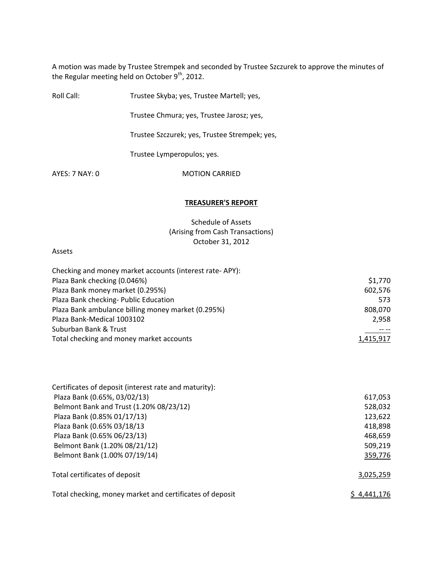A motion was made by Trustee Strempek and seconded by Trustee Szczurek to approve the minutes of the Regular meeting held on October 9<sup>th</sup>, 2012.

| Roll Call:     | Trustee Skyba; yes, Trustee Martell; yes,     |
|----------------|-----------------------------------------------|
|                | Trustee Chmura; yes, Trustee Jarosz; yes,     |
|                | Trustee Szczurek; yes, Trustee Strempek; yes, |
|                | Trustee Lymperopulos; yes.                    |
| AYES: 7 NAY: 0 | <b>MOTION CARRIED</b>                         |
|                |                                               |

# **TREASURER'S REPORT**

Schedule of Assets (Arising from Cash Transactions) October 31, 2012

#### Assets

| Checking and money market accounts (interest rate-APY): |           |
|---------------------------------------------------------|-----------|
| Plaza Bank checking (0.046%)                            | \$1,770   |
| Plaza Bank money market (0.295%)                        | 602,576   |
| Plaza Bank checking- Public Education                   | 573       |
| Plaza Bank ambulance billing money market (0.295%)      | 808,070   |
| Plaza Bank-Medical 1003102                              | 2,958     |
| Suburban Bank & Trust                                   |           |
| Total checking and money market accounts                | 1,415,917 |

| Certificates of deposit (interest rate and maturity):    |             |
|----------------------------------------------------------|-------------|
| Plaza Bank (0.65%, 03/02/13)                             | 617,053     |
| Belmont Bank and Trust (1.20% 08/23/12)                  | 528,032     |
| Plaza Bank (0.85% 01/17/13)                              | 123,622     |
| Plaza Bank (0.65% 03/18/13                               | 418,898     |
| Plaza Bank (0.65% 06/23/13)                              | 468,659     |
| Belmont Bank (1.20% 08/21/12)                            | 509,219     |
| Belmont Bank (1.00% 07/19/14)                            | 359,776     |
| Total certificates of deposit                            | 3,025,259   |
| Total checking, money market and certificates of deposit | S 4,441,176 |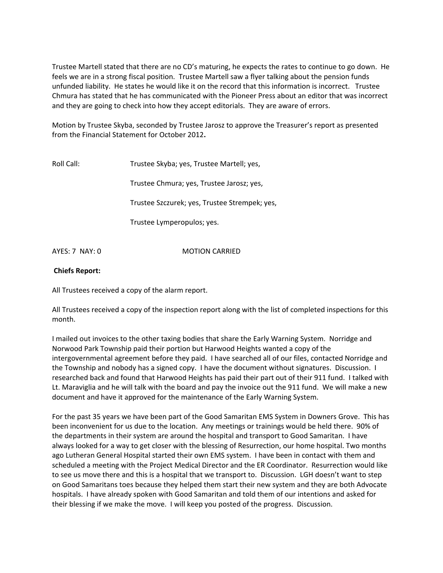Trustee Martell stated that there are no CD's maturing, he expects the rates to continue to go down. He feels we are in a strong fiscal position. Trustee Martell saw a flyer talking about the pension funds unfunded liability. He states he would like it on the record that this information is incorrect. Trustee Chmura has stated that he has communicated with the Pioneer Press about an editor that was incorrect and they are going to check into how they accept editorials. They are aware of errors.

Motion by Trustee Skyba, seconded by Trustee Jarosz to approve the Treasurer's report as presented from the Financial Statement for October 2012**.**

Roll Call: Trustee Skyba; yes, Trustee Martell; yes,

Trustee Chmura; yes, Trustee Jarosz; yes,

Trustee Szczurek; yes, Trustee Strempek; yes,

Trustee Lymperopulos; yes.

AYES: 7 NAY: 0 **MOTION CARRIED** 

## **Chiefs Report:**

All Trustees received a copy of the alarm report.

All Trustees received a copy of the inspection report along with the list of completed inspections for this month.

I mailed out invoices to the other taxing bodies that share the Early Warning System. Norridge and Norwood Park Township paid their portion but Harwood Heights wanted a copy of the intergovernmental agreement before they paid. I have searched all of our files, contacted Norridge and the Township and nobody has a signed copy. I have the document without signatures. Discussion. I researched back and found that Harwood Heights has paid their part out of their 911 fund. I talked with Lt. Maraviglia and he will talk with the board and pay the invoice out the 911 fund. We will make a new document and have it approved for the maintenance of the Early Warning System.

For the past 35 years we have been part of the Good Samaritan EMS System in Downers Grove. This has been inconvenient for us due to the location. Any meetings or trainings would be held there. 90% of the departments in their system are around the hospital and transport to Good Samaritan. I have always looked for a way to get closer with the blessing of Resurrection, our home hospital. Two months ago Lutheran General Hospital started their own EMS system. I have been in contact with them and scheduled a meeting with the Project Medical Director and the ER Coordinator. Resurrection would like to see us move there and this is a hospital that we transport to. Discussion. LGH doesn't want to step on Good Samaritans toes because they helped them start their new system and they are both Advocate hospitals. I have already spoken with Good Samaritan and told them of our intentions and asked for their blessing if we make the move. I will keep you posted of the progress. Discussion.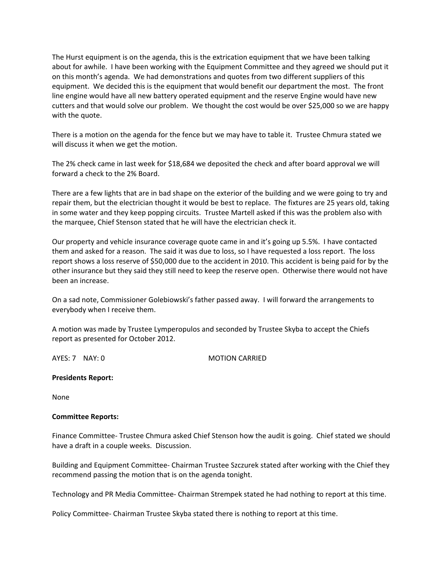The Hurst equipment is on the agenda, this is the extrication equipment that we have been talking about for awhile. I have been working with the Equipment Committee and they agreed we should put it on this month's agenda. We had demonstrations and quotes from two different suppliers of this equipment. We decided this is the equipment that would benefit our department the most. The front line engine would have all new battery operated equipment and the reserve Engine would have new cutters and that would solve our problem. We thought the cost would be over \$25,000 so we are happy with the quote.

There is a motion on the agenda for the fence but we may have to table it. Trustee Chmura stated we will discuss it when we get the motion.

The 2% check came in last week for \$18,684 we deposited the check and after board approval we will forward a check to the 2% Board.

There are a few lights that are in bad shape on the exterior of the building and we were going to try and repair them, but the electrician thought it would be best to replace. The fixtures are 25 years old, taking in some water and they keep popping circuits. Trustee Martell asked if this was the problem also with the marquee, Chief Stenson stated that he will have the electrician check it.

Our property and vehicle insurance coverage quote came in and it's going up 5.5%. I have contacted them and asked for a reason. The said it was due to loss, so I have requested a loss report. The loss report shows a loss reserve of \$50,000 due to the accident in 2010. This accident is being paid for by the other insurance but they said they still need to keep the reserve open. Otherwise there would not have been an increase.

On a sad note, Commissioner Golebiowski's father passed away. I will forward the arrangements to everybody when I receive them.

A motion was made by Trustee Lymperopulos and seconded by Trustee Skyba to accept the Chiefs report as presented for October 2012.

AYES: 7 NAY: 0 MOTION CARRIED

## **Presidents Report:**

None

## **Committee Reports:**

Finance Committee‐ Trustee Chmura asked Chief Stenson how the audit is going. Chief stated we should have a draft in a couple weeks. Discussion.

Building and Equipment Committee‐ Chairman Trustee Szczurek stated after working with the Chief they recommend passing the motion that is on the agenda tonight.

Technology and PR Media Committee‐ Chairman Strempek stated he had nothing to report at this time.

Policy Committee‐ Chairman Trustee Skyba stated there is nothing to report at this time.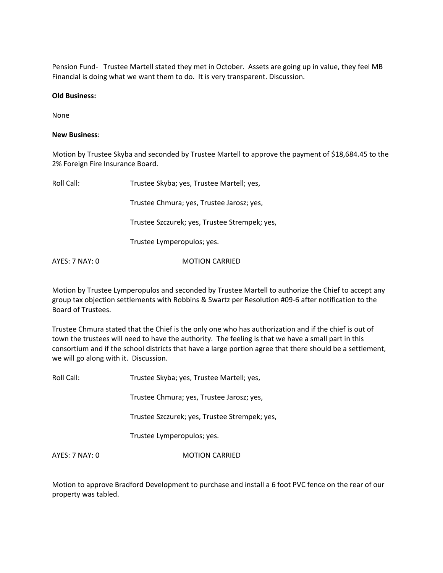Pension Fund- Trustee Martell stated they met in October. Assets are going up in value, they feel MB Financial is doing what we want them to do. It is very transparent. Discussion.

#### **Old Business:**

None

#### **New Business**:

Motion by Trustee Skyba and seconded by Trustee Martell to approve the payment of \$18,684.45 to the 2% Foreign Fire Insurance Board.

| Roll Call:     | Trustee Skyba; yes, Trustee Martell; yes,     |
|----------------|-----------------------------------------------|
|                | Trustee Chmura; yes, Trustee Jarosz; yes,     |
|                | Trustee Szczurek; yes, Trustee Strempek; yes, |
|                | Trustee Lymperopulos; yes.                    |
| AYES: 7 NAY: 0 | <b>MOTION CARRIED</b>                         |

Motion by Trustee Lymperopulos and seconded by Trustee Martell to authorize the Chief to accept any group tax objection settlements with Robbins & Swartz per Resolution #09‐6 after notification to the Board of Trustees.

Trustee Chmura stated that the Chief is the only one who has authorization and if the chief is out of town the trustees will need to have the authority. The feeling is that we have a small part in this consortium and if the school districts that have a large portion agree that there should be a settlement, we will go along with it. Discussion.

| Roll Call:     | Trustee Skyba; yes, Trustee Martell; yes,     |
|----------------|-----------------------------------------------|
|                | Trustee Chmura; yes, Trustee Jarosz; yes,     |
|                | Trustee Szczurek; yes, Trustee Strempek; yes, |
|                | Trustee Lymperopulos; yes.                    |
| AYES: 7 NAY: 0 | <b>MOTION CARRIED</b>                         |

Motion to approve Bradford Development to purchase and install a 6 foot PVC fence on the rear of our property was tabled.